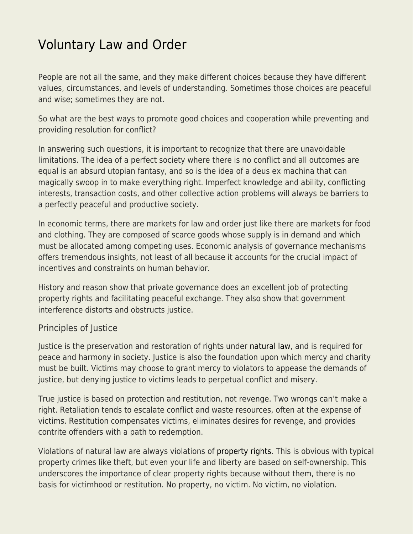## [Voluntary Law and Order](https://everything-voluntary.com/voluntary-law-order)

People are not all the same, and they make different choices because they have different values, circumstances, and levels of understanding. Sometimes those choices are peaceful and wise; sometimes they are not.

So what are the best ways to promote good choices and cooperation while preventing and providing resolution for conflict?

In answering such questions, it is important to recognize that there are unavoidable limitations. The idea of a perfect society where there is no conflict and all outcomes are equal is an absurd utopian fantasy, and so is the idea of a deus ex machina that can magically swoop in to make everything right. Imperfect knowledge and ability, conflicting interests, transaction costs, and other collective action problems will always be barriers to a perfectly peaceful and productive society.

In economic terms, there are markets for law and order just like there are markets for food and clothing. They are composed of scarce goods whose supply is in demand and which must be allocated among competing uses. Economic analysis of governance mechanisms offers tremendous insights, not least of all because it accounts for the crucial impact of incentives and constraints on human behavior.

History and reason show that private governance does an excellent job of protecting property rights and facilitating peaceful exchange. They also show that government interference distorts and obstructs justice.

## Principles of Justice

Justice is the preservation and restoration of rights under [natural law,](http://www.livingvoluntary.com/natural-law-in-a-nutshell/) and is required for peace and harmony in society. Justice is also the foundation upon which mercy and charity must be built. Victims may choose to grant mercy to violators to appease the demands of justice, but denying justice to victims leads to perpetual conflict and misery.

True justice is based on protection and restitution, not revenge. Two wrongs can't make a right. Retaliation tends to escalate conflict and waste resources, often at the expense of victims. Restitution compensates victims, eliminates desires for revenge, and provides contrite offenders with a path to redemption.

Violations of natural law are always violations of [property rights](http://www.livingvoluntary.com/property-and-ownership/). This is obvious with typical property crimes like theft, but even your life and liberty are based on self-ownership. This underscores the importance of clear property rights because without them, there is no basis for victimhood or restitution. No property, no victim. No victim, no violation.